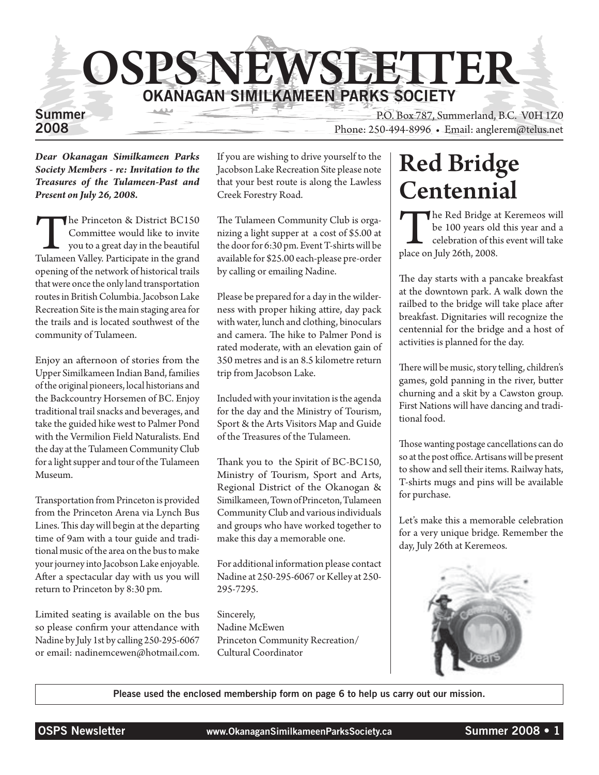

*Dear Okanagan Similkameen Parks Society Members - re: Invitation to the Treasures of the Tulameen-Past and Present on July 26, 2008.*

The Princeton & District BC150<br>
Committee would like to invite<br>
you to a great day in the beautiful<br>
Tulameen Valley. Participate in the grand Committee would like to invite you to a great day in the beautiful opening of the network of historical trails that were once the only land transportation routes in British Columbia. Jacobson Lake Recreation Site is the main staging area for the trails and is located southwest of the community of Tulameen.

Enjoy an afternoon of stories from the Upper Similkameen Indian Band, families of the original pioneers, local historians and the Backcountry Horsemen of BC. Enjoy traditional trail snacks and beverages, and take the guided hike west to Palmer Pond with the Vermilion Field Naturalists. End the day at the Tulameen Community Club for a light supper and tour of the Tulameen Museum.

Transportation from Princeton is provided from the Princeton Arena via Lynch Bus Lines. This day will begin at the departing time of 9am with a tour guide and traditional music of the area on the bus to make your journey into Jacobson Lake enjoyable. After a spectacular day with us you will return to Princeton by 8:30 pm.

Limited seating is available on the bus so please confirm your attendance with Nadine by July 1st by calling 250-295-6067 or email: nadinemcewen@hotmail.com.

If you are wishing to drive yourself to the Jacobson Lake Recreation Site please note that your best route is along the Lawless Creek Forestry Road.

The Tulameen Community Club is organizing a light supper at a cost of \$5.00 at the door for 6:30 pm. Event T-shirts will be available for \$25.00 each-please pre-order by calling or emailing Nadine.

Please be prepared for a day in the wilderness with proper hiking attire, day pack with water, lunch and clothing, binoculars and camera. The hike to Palmer Pond is rated moderate, with an elevation gain of 350 metres and is an 8.5 kilometre return trip from Jacobson Lake.

Included with your invitation is the agenda for the day and the Ministry of Tourism, Sport & the Arts Visitors Map and Guide of the Treasures of the Tulameen.

Thank you to the Spirit of BC-BC150, Ministry of Tourism, Sport and Arts, Regional District of the Okanogan & Similkameen, Town of Princeton, Tulameen Community Club and various individuals and groups who have worked together to make this day a memorable one.

For additional information please contact Nadine at 250-295-6067 or Kelley at 250- 295-7295.

Sincerely, Nadine McEwen Princeton Community Recreation/ Cultural Coordinator

### Red Bridge Centennial

The Red Bridge at Keremeos will<br>be 100 years old this year and a<br>celebration of this event will take<br>place on July 26th, 2008. be 100 years old this year and a celebration of this event will take place on July 26th, 2008.

The day starts with a pancake breakfast at the downtown park. A walk down the railbed to the bridge will take place after breakfast. Dignitaries will recognize the centennial for the bridge and a host of activities is planned for the day.

There will be music, story telling, children's games, gold panning in the river, butter churning and a skit by a Cawston group. First Nations will have dancing and traditional food.

Those wanting postage cancellations can do so at the post office. Artisans will be present to show and sell their items. Railway hats, T-shirts mugs and pins will be available for purchase.

Let's make this a memorable celebration for a very unique bridge. Remember the day, July 26th at Keremeos.



Please used the enclosed membership form on page 6 to help us carry out our mission.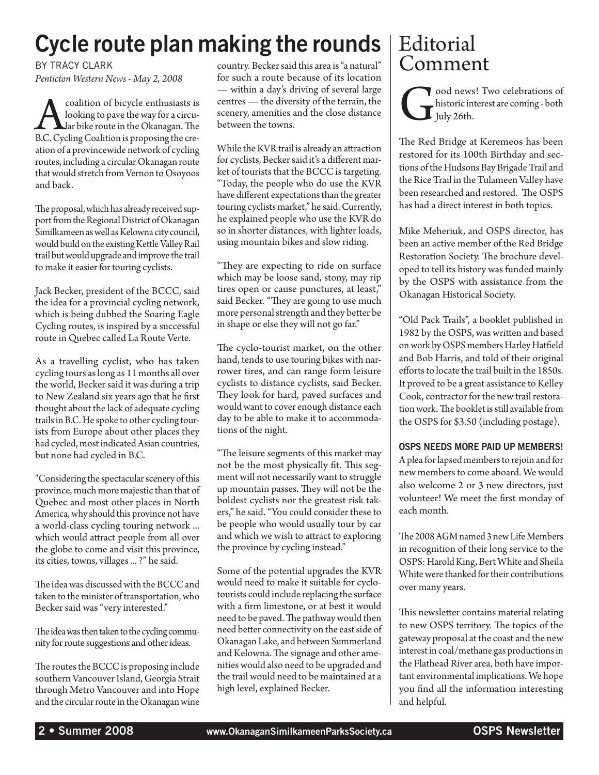# Cycle route plan making the rounds  $|$  Editorial

By Tracy Clark *Penticton Western News - May 2, 2008*

coalition of bicycle enthusiasts is<br>looking to pave the way for a circu-<br>B.C. Cycling Coalition is proposing the crelooking to pave the way for a circular bike route in the Okanagan. The B.C. Cycling Coalition is proposing the creation of a provincewide network of cycling routes, including a circular Okanagan route that would stretch from Vernon to Osoyoos and back.

The proposal, which has already received support from the Regional District of Okanagan Similkameen as well as Kelowna city council, would build on the existing Kettle Valley Rail trail but would upgrade and improve the trail to make it easier for touring cyclists.

Jack Becker, president of the BCCC, said the idea for a provincial cycling network, which is being dubbed the Soaring Eagle Cycling routes, is inspired by a successful route in Quebec called La Route Verte.

As a travelling cyclist, who has taken cycling tours as long as 11 months all over the world, Becker said it was during a trip to New Zealand six years ago that he first thought about the lack of adequate cycling trails in B.C. He spoke to other cycling tourists from Europe about other places they had cycled, most indicated Asian countries, but none had cycled in B.C.

"Considering the spectacular scenery of this province, much more majestic than that of Quebec and most other places in North America, why should this province not have a world-class cycling touring network ... which would attract people from all over the globe to come and visit this province, its cities, towns, villages ... ?" he said.

The idea was discussed with the BCCC and taken to the minister of transportation, who Becker said was "very interested."

The idea was then taken to the cycling community for route suggestions and other ideas.

The routes the BCCC is proposing include southern Vancouver Island, Georgia Strait through Metro Vancouver and into Hope and the circular route in the Okanagan wine

country. Becker said this area is "a natural" for such a route because of its location — within a day's driving of several large centres — the diversity of the terrain, the scenery, amenities and the close distance between the towns.

While the KVR trail is already an attraction for cyclists, Becker said it's a different market of tourists that the BCCC is targeting. "Today, the people who do use the KVR have different expectations than the greater touring cyclists market," he said. Currently, he explained people who use the KVR do so in shorter distances, with lighter loads, using mountain bikes and slow riding.

"They are expecting to ride on surface which may be loose sand, stony, may rip tires open or cause punctures, at least," said Becker. "They are going to use much more personal strength and they better be in shape or else they will not go far."

The cyclo-tourist market, on the other hand, tends to use touring bikes with narrower tires, and can range form leisure cyclists to distance cyclists, said Becker. They look for hard, paved surfaces and would want to cover enough distance each day to be able to make it to accommodations of the night.

"The leisure segments of this market may not be the most physically fit. This segment will not necessarily want to struggle up mountain passes. They will not be the boldest cyclists nor the greatest risk takers," he said. "You could consider these to be people who would usually tour by car and which we wish to attract to exploring the province by cycling instead."

Some of the potential upgrades the KVR would need to make it suitable for cyclotourists could include replacing the surface with a firm limestone, or at best it would need to be paved. The pathway would then need better connectivity on the east side of Okanagan Lake, and between Summerland and Kelowna. The signage and other amenities would also need to be upgraded and the trail would need to be maintained at a high level, explained Becker.

# Comment

ood news! Two celebrations of<br>historic interest are coming - both<br>July 26th. historic interest are coming - both July 26th.

The Red Bridge at Keremeos has been restored for its 100th Birthday and sections of the Hudsons Bay Brigade Trail and the Rice Trail in the Tulameen Valley have been researched and restored. The OSPS has had a direct interest in both topics.

Mike Meheriuk, and OSPS director, has been an active member of the Red Bridge Restoration Society. The brochure developed to tell its history was funded mainly by the OSPS with assistance from the Okanagan Historical Society.

"Old Pack Trails", a booklet published in 1982 by the OSPS, was written and based on work by OSPS members Harley Hatfield and Bob Harris, and told of their original efforts to locate the trail built in the 1850s. It proved to be a great assistance to Kelley Cook, contractor for the new trail restoration work. The booklet is still available from the OSPS for \$3.50 (including postage).

#### OSPS needs more paid up members!

A plea for lapsed members to rejoin and for new members to come aboard. We would also welcome 2 or 3 new directors, just volunteer! We meet the first monday of each month.

The 2008 AGM named 3 new Life Members in recognition of their long service to the OSPS: Harold King, Bert White and Sheila White were thanked for their contributions over many years.

This newsletter contains material relating to new OSPS territory. The topics of the gateway proposal at the coast and the new interest in coal/methane gas productions in the Flathead River area, both have important environmental implications. We hope you find all the information interesting and helpful.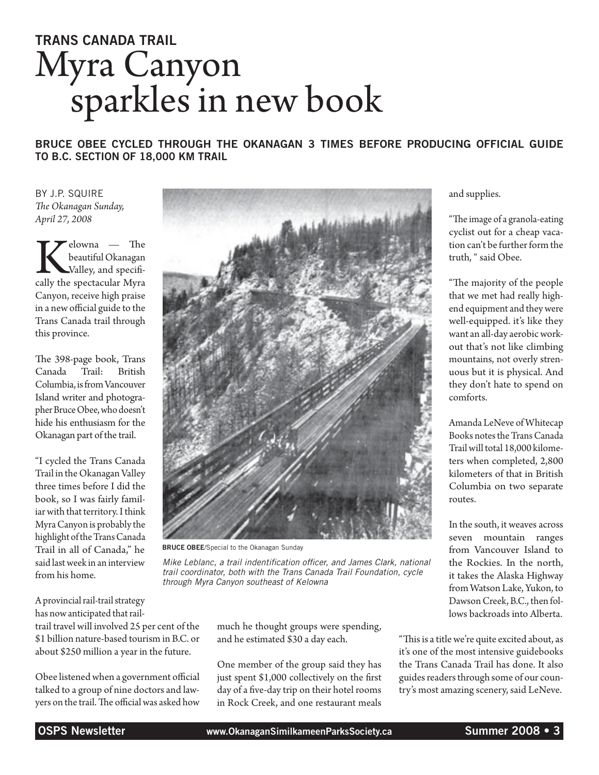# Trans Canada Trail Myra Canyon sparkles in new book

Bruce Obee cycled through the Okanagan 3 times before producing official guide to B.C. section of 18,000 km trail

By J.P. Squire *The Okanagan Sunday, April 27, 2008*

Kelowna — The beautiful Okanagan<br>
Valley, and specifically the spectacular Myra beautiful Okanagan Valley, and specifi-Canyon, receive high praise in a new official guide to the Trans Canada trail through this province.

The 398-page book, Trans Canada Trail: British Columbia, is from Vancouver Island writer and photographer Bruce Obee, who doesn't hide his enthusiasm for the Okanagan part of the trail.

"I cycled the Trans Canada Trail in the Okanagan Valley three times before I did the book, so I was fairly familiar with that territory. I think Myra Canyon is probably the highlight of the Trans Canada Trail in all of Canada," he said last week in an interview from his home.

A provincial rail-trail strategy has now anticipated that railtrail travel will involved 25 per cent of the \$1 billion nature-based tourism in B.C. or about \$250 million a year in the future.

Obee listened when a government official talked to a group of nine doctors and lawyers on the trail. The official was asked how



**BRUCE OBEE/Special to the Okanagan Sunday** 

*Mike Leblanc, a trail indentification officer, and James Clark, national trail coordinator, both with the Trans Canada Trail Foundation, cycle through Myra Canyon southeast of Kelowna*

> much he thought groups were spending, and he estimated \$30 a day each.

One member of the group said they has just spent \$1,000 collectively on the first day of a five-day trip on their hotel rooms in Rock Creek, and one restaurant meals

and supplies.

"The image of a granola-eating cyclist out for a cheap vacation can't be further form the truth, " said Obee.

"The majority of the people that we met had really highend equipment and they were well-equipped. it's like they want an all-day aerobic workout that's not like climbing mountains, not overly strenuous but it is physical. And they don't hate to spend on comforts.

Amanda LeNeve of Whitecap Books notes the Trans Canada Trail will total 18,000 kilometers when completed, 2,800 kilometers of that in British Columbia on two separate routes.

In the south, it weaves across seven mountain ranges from Vancouver Island to the Rockies. In the north, it takes the Alaska Highway from Watson Lake, Yukon, to Dawson Creek, B.C., then follows backroads into Alberta.

"This is a title we're quite excited about, as it's one of the most intensive guidebooks the Trans Canada Trail has done. It also guides readers through some of our country's most amazing scenery, said LeNeve.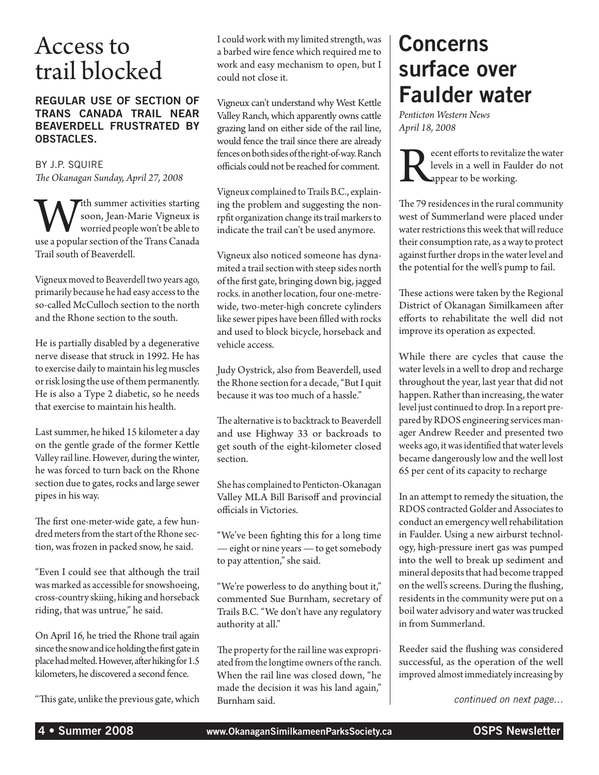### Access to trail blocked

#### Regular use of section of Trans Canada Trail near Beaverdell frustrated by obstacles.

By J.P. Squire *The Okanagan Sunday, April 27, 2008*

With summer activities starting<br>soon, Jean-Marie Vigneux is<br>worried people won't be able to<br>use a popular section of the Trans Canada soon, Jean-Marie Vigneux is worried people won't be able to Trail south of Beaverdell.

Vigneux moved to Beaverdell two years ago, primarily because he had easy access to the so-called McCulloch section to the north and the Rhone section to the south.

He is partially disabled by a degenerative nerve disease that struck in 1992. He has to exercise daily to maintain his leg muscles or risk losing the use of them permanently. He is also a Type 2 diabetic, so he needs that exercise to maintain his health.

Last summer, he hiked 15 kilometer a day on the gentle grade of the former Kettle Valley rail line. However, during the winter, he was forced to turn back on the Rhone section due to gates, rocks and large sewer pipes in his way.

The first one-meter-wide gate, a few hundred meters from the start of the Rhone section, was frozen in packed snow, he said.

"Even I could see that although the trail was marked as accessible for snowshoeing, cross-country skiing, hiking and horseback riding, that was untrue," he said.

On April 16, he tried the Rhone trail again since the snow and ice holding the first gate in place had melted. However, after hiking for 1.5 kilometers, he discovered a second fence.

"This gate, unlike the previous gate, which

I could work with my limited strength, was a barbed wire fence which required me to work and easy mechanism to open, but I could not close it.

Vigneux can't understand why West Kettle Valley Ranch, which apparently owns cattle grazing land on either side of the rail line, would fence the trail since there are already fences on both sides of the right-of-way. Ranch officials could not be reached for comment.

Vigneux complained to Trails B.C., explaining the problem and suggesting the nonrpfit organization change its trail markers to indicate the trail can't be used anymore.

Vigneux also noticed someone has dynamited a trail section with steep sides north of the first gate, bringing down big, jagged rocks. in another location, four one-metrewide, two-meter-high concrete cylinders like sewer pipes have been filled with rocks and used to block bicycle, horseback and vehicle access.

Judy Oystrick, also from Beaverdell, used the Rhone section for a decade, "But I quit because it was too much of a hassle."

The alternative is to backtrack to Beaverdell and use Highway 33 or backroads to get south of the eight-kilometer closed section.

She has complained to Penticton-Okanagan Valley MLA Bill Barisoff and provincial officials in Victories.

"We've been fighting this for a long time — eight or nine years — to get somebody to pay attention," she said.

"We're powerless to do anything bout it," commented Sue Burnham, secretary of Trails B.C. "We don't have any regulatory authority at all."

The property for the rail line was expropriated from the longtime owners of the ranch. When the rail line was closed down, "he made the decision it was his land again," Burnham said.

### Concerns surface over Faulder water

*Penticton Western News April 18, 2008*

Recent efforts to revitalize the water<br>levels in a well in Faulder do not<br>appear to be working. levels in a well in Faulder do not appear to be working.

The 79 residences in the rural community west of Summerland were placed under water restrictions this week that will reduce their consumption rate, as a way to protect against further drops in the water level and the potential for the well's pump to fail.

These actions were taken by the Regional District of Okanagan Similkameen after efforts to rehabilitate the well did not improve its operation as expected.

While there are cycles that cause the water levels in a well to drop and recharge throughout the year, last year that did not happen. Rather than increasing, the water level just continued to drop. In a report prepared by RDOS engineering services manager Andrew Reeder and presented two weeks ago, it was identified that water levels became dangerously low and the well lost 65 per cent of its capacity to recharge

In an attempt to remedy the situation, the RDOS contracted Golder and Associates to conduct an emergency well rehabilitation in Faulder. Using a new airburst technology, high-pressure inert gas was pumped into the well to break up sediment and mineral deposits that had become trapped on the well's screens. During the flushing, residents in the community were put on a boil water advisory and water was trucked in from Summerland.

Reeder said the flushing was considered successful, as the operation of the well improved almost immediately increasing by

*continued on next page…*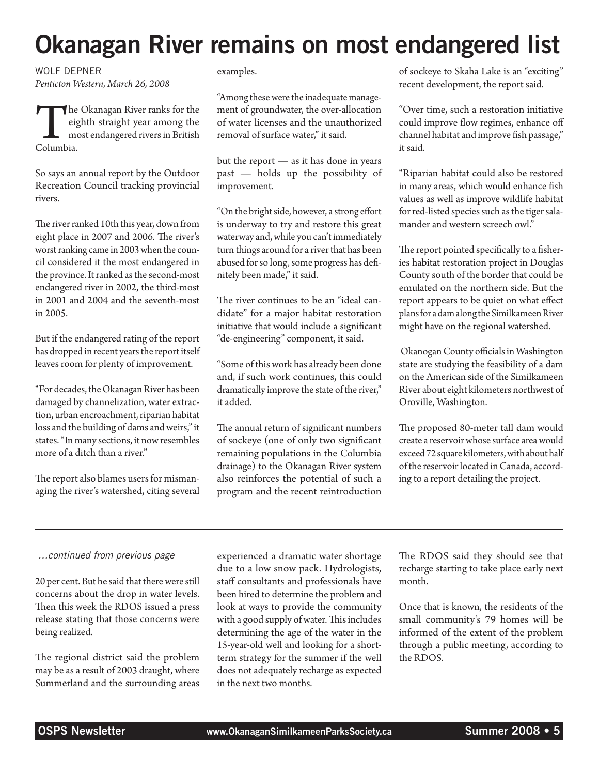# Okanagan River remains on most endangered list

Wolf Depner *Penticton Western, March 26, 2008*

The Okanagan River ranks for the eighth straight year among the most endangered rivers in British Columbia. eighth straight year among the most endangered rivers in British Columbia.

So says an annual report by the Outdoor Recreation Council tracking provincial rivers.

The river ranked 10th this year, down from eight place in 2007 and 2006. The river's worst ranking came in 2003 when the council considered it the most endangered in the province. It ranked as the second-most endangered river in 2002, the third-most in 2001 and 2004 and the seventh-most in 2005.

But if the endangered rating of the report has dropped in recent years the report itself leaves room for plenty of improvement.

"For decades, the Okanagan River has been damaged by channelization, water extraction, urban encroachment, riparian habitat loss and the building of dams and weirs," it states. "In many sections, it now resembles more of a ditch than a river."

The report also blames users for mismanaging the river's watershed, citing several

#### examples.

"Among these were the inadequate management of groundwater, the over-allocation of water licenses and the unauthorized removal of surface water," it said.

but the report — as it has done in years past — holds up the possibility of improvement.

"On the bright side, however, a strong effort is underway to try and restore this great waterway and, while you can't immediately turn things around for a river that has been abused for so long, some progress has definitely been made," it said.

The river continues to be an "ideal candidate" for a major habitat restoration initiative that would include a significant "de-engineering" component, it said.

"Some of this work has already been done and, if such work continues, this could dramatically improve the state of the river," it added.

The annual return of significant numbers of sockeye (one of only two significant remaining populations in the Columbia drainage) to the Okanagan River system also reinforces the potential of such a program and the recent reintroduction of sockeye to Skaha Lake is an "exciting" recent development, the report said.

"Over time, such a restoration initiative could improve flow regimes, enhance off channel habitat and improve fish passage," it said.

"Riparian habitat could also be restored in many areas, which would enhance fish values as well as improve wildlife habitat for red-listed species such as the tiger salamander and western screech owl."

The report pointed specifically to a fisheries habitat restoration project in Douglas County south of the border that could be emulated on the northern side. But the report appears to be quiet on what effect plans for a dam along the Similkameen River might have on the regional watershed.

 Okanogan County officials in Washington state are studying the feasibility of a dam on the American side of the Similkameen River about eight kilometers northwest of Oroville, Washington.

The proposed 80-meter tall dam would create a reservoir whose surface area would exceed 72 square kilometers, with about half of the reservoir located in Canada, according to a report detailing the project.

#### *…continued from previous page*

20 per cent. But he said that there were still concerns about the drop in water levels. Then this week the RDOS issued a press release stating that those concerns were being realized.

The regional district said the problem may be as a result of 2003 draught, where Summerland and the surrounding areas experienced a dramatic water shortage due to a low snow pack. Hydrologists, staff consultants and professionals have been hired to determine the problem and look at ways to provide the community with a good supply of water. This includes determining the age of the water in the 15-year-old well and looking for a shortterm strategy for the summer if the well does not adequately recharge as expected in the next two months.

The RDOS said they should see that recharge starting to take place early next month.

Once that is known, the residents of the small community's 79 homes will be informed of the extent of the problem through a public meeting, according to the RDOS.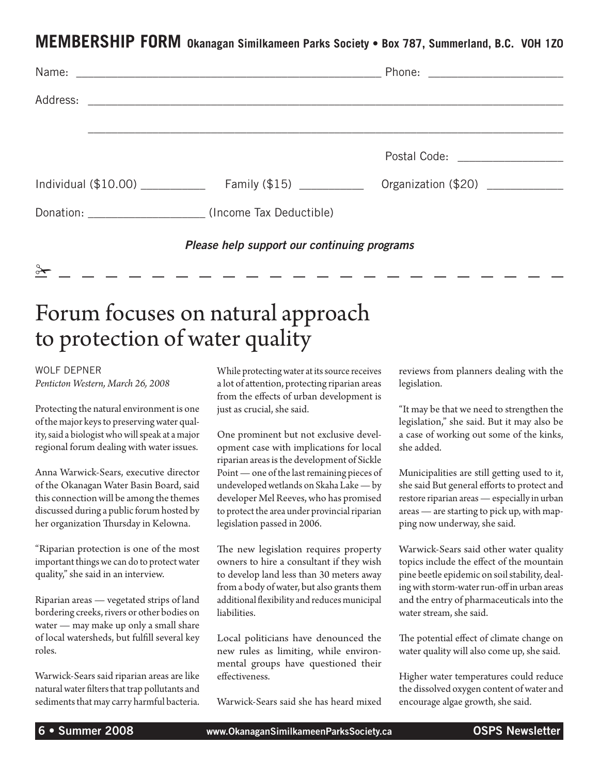#### **MEMBERSHIP FORM Okanagan Similkameen Parks Society • Box 787, Summerland, B.C. V0H 1Z0**

|                                             | Postal Code: <u>_______________</u> |
|---------------------------------------------|-------------------------------------|
|                                             | Organization (\$20) ____________    |
| Donation: (Income Tax Deductible)           |                                     |
| Please help support our continuing programs |                                     |

### Forum focuses on natural approach to protection of water quality

Wolf Depner *Penticton Western, March 26, 2008*

 $\frac{8}{1}$ 

Protecting the natural environment is one of the major keys to preserving water quality, said a biologist who will speak at a major regional forum dealing with water issues.

Anna Warwick-Sears, executive director of the Okanagan Water Basin Board, said this connection will be among the themes discussed during a public forum hosted by her organization Thursday in Kelowna.

"Riparian protection is one of the most important things we can do to protect water quality," she said in an interview.

Riparian areas — vegetated strips of land bordering creeks, rivers or other bodies on water — may make up only a small share of local watersheds, but fulfill several key roles.

Warwick-Sears said riparian areas are like natural water filters that trap pollutants and sediments that may carry harmful bacteria. While protecting water at its source receives a lot of attention, protecting riparian areas from the effects of urban development is just as crucial, she said.

One prominent but not exclusive development case with implications for local riparian areas is the development of Sickle Point — one of the last remaining pieces of undeveloped wetlands on Skaha Lake — by developer Mel Reeves, who has promised to protect the area under provincial riparian legislation passed in 2006.

The new legislation requires property owners to hire a consultant if they wish to develop land less than 30 meters away from a body of water, but also grants them additional flexibility and reduces municipal liabilities.

Local politicians have denounced the new rules as limiting, while environmental groups have questioned their effectiveness.

Warwick-Sears said she has heard mixed

reviews from planners dealing with the legislation.

"It may be that we need to strengthen the legislation," she said. But it may also be a case of working out some of the kinks, she added.

Municipalities are still getting used to it, she said But general efforts to protect and restore riparian areas — especially in urban areas — are starting to pick up, with mapping now underway, she said.

Warwick-Sears said other water quality topics include the effect of the mountain pine beetle epidemic on soil stability, dealing with storm-water run-off in urban areas and the entry of pharmaceuticals into the water stream, she said.

The potential effect of climate change on water quality will also come up, she said.

Higher water temperatures could reduce the dissolved oxygen content of water and encourage algae growth, she said.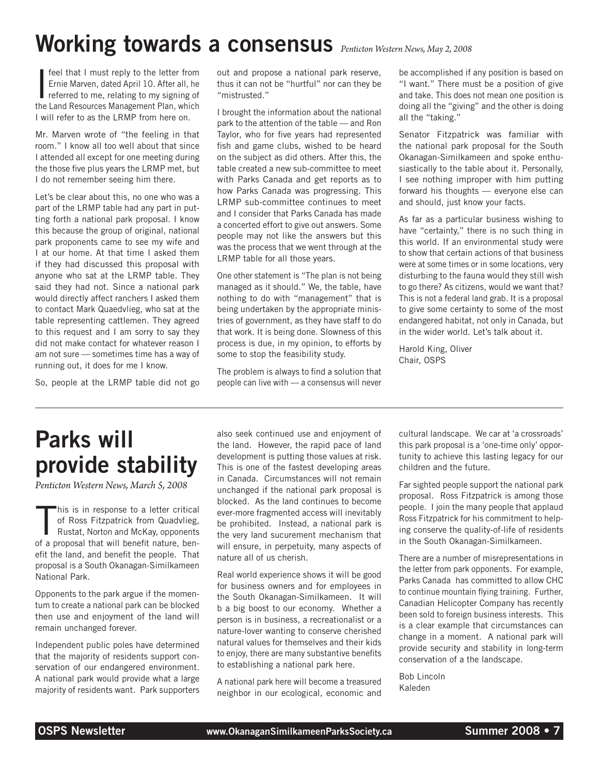## Working towards a consensus *Penticton Western News, May 2, 2008*

**I** feel that I must reply to the letter from<br>Ernie Marven, dated April 10. After all, he<br>referred to me, relating to my signing of<br>the Land Resources Management Plan, which feel that I must reply to the letter from Ernie Marven, dated April 10. After all, he referred to me, relating to my signing of I will refer to as the LRMP from here on.

Mr. Marven wrote of "the feeling in that room." I know all too well about that since I attended all except for one meeting during the those five plus years the LRMP met, but I do not remember seeing him there.

Let's be clear about this, no one who was a part of the LRMP table had any part in putting forth a national park proposal. I know this because the group of original, national park proponents came to see my wife and I at our home. At that time I asked them if they had discussed this proposal with anyone who sat at the LRMP table. They said they had not. Since a national park would directly affect ranchers I asked them to contact Mark Quaedvlieg, who sat at the table representing cattlemen. They agreed to this request and I am sorry to say they did not make contact for whatever reason I am not sure — sometimes time has a way of running out, it does for me I know.

So, people at the LRMP table did not go

out and propose a national park reserve, thus it can not be "hurtful" nor can they be "mistrusted."

I brought the information about the national park to the attention of the table — and Ron Taylor, who for five years had represented fish and game clubs, wished to be heard on the subject as did others. After this, the table created a new sub-committee to meet with Parks Canada and get reports as to how Parks Canada was progressing. This LRMP sub-committee continues to meet and I consider that Parks Canada has made a concerted effort to give out answers. Some people may not like the answers but this was the process that we went through at the LRMP table for all those years.

One other statement is "The plan is not being managed as it should." We, the table, have nothing to do with "management" that is being undertaken by the appropriate ministries of government, as they have staff to do that work. It is being done. Slowness of this process is due, in my opinion, to efforts by some to stop the feasibility study.

The problem is always to find a solution that people can live with — a consensus will never be accomplished if any position is based on "I want." There must be a position of give and take. This does not mean one position is doing all the "giving" and the other is doing all the "taking."

Senator Fitzpatrick was familiar with the national park proposal for the South Okanagan-Similkameen and spoke enthusiastically to the table about it. Personally, I see nothing improper with him putting forward his thoughts — everyone else can and should, just know your facts.

As far as a particular business wishing to have "certainty," there is no such thing in this world. If an environmental study were to show that certain actions of that business were at some times or in some locations, very disturbing to the fauna would they still wish to go there? As citizens, would we want that? This is not a federal land grab. It is a proposal to give some certainty to some of the most endangered habitat, not only in Canada, but in the wider world. Let's talk about it.

Harold King, Oliver Chair, OSPS

# Parks will provide stability

*Penticton Western News, March 5, 2008*

This is in response to a letter critical<br>of Ross Fitzpatrick from Quadvlieg,<br>Rustat, Norton and McKay, opponents<br>of a proposal that will benefit nature, benhis is in response to a letter critical of Ross Fitzpatrick from Quadvlieg, Rustat, Norton and McKay, opponents efit the land, and benefit the people. That proposal is a South Okanagan-Similkameen National Park.

Opponents to the park argue if the momentum to create a national park can be blocked then use and enjoyment of the land will remain unchanged forever.

Independent public poles have determined that the majority of residents support conservation of our endangered environment. A national park would provide what a large majority of residents want. Park supporters also seek continued use and enjoyment of the land. However, the rapid pace of land development is putting those values at risk. This is one of the fastest developing areas in Canada. Circumstances will not remain unchanged if the national park proposal is blocked. As the land continues to become ever-more fragmented access will inevitably be prohibited. Instead, a national park is the very land sucurement mechanism that will ensure, in perpetuity, many aspects of nature all of us cherish.

Real world experience shows it will be good for business owners and for employees in the South Okanagan-Similkameen. It will b a big boost to our economy. Whether a person is in business, a recreationalist or a nature-lover wanting to conserve cherished natural values for themselves and their kids to enjoy, there are many substantive benefits to establishing a national park here.

A national park here will become a treasured neighbor in our ecological, economic and cultural landscape. We car at 'a crossroads' this park proposal is a 'one-time only' opportunity to achieve this lasting legacy for our children and the future.

Far sighted people support the national park proposal. Ross Fitzpatrick is among those people. I join the many people that applaud Ross Fitzpatrick for his commitment to helping conserve the quality-of-life of residents in the South Okanagan-Similkameen.

There are a number of misrepresentations in the letter from park opponents. For example, Parks Canada has committed to allow CHC to continue mountain flying training. Further, Canadian Helicopter Company has recently been sold to foreign business interests. This is a clear example that circumstances can change in a moment. A national park will provide security and stability in long-term conservation of a the landscape.

Bob Lincoln Kaleden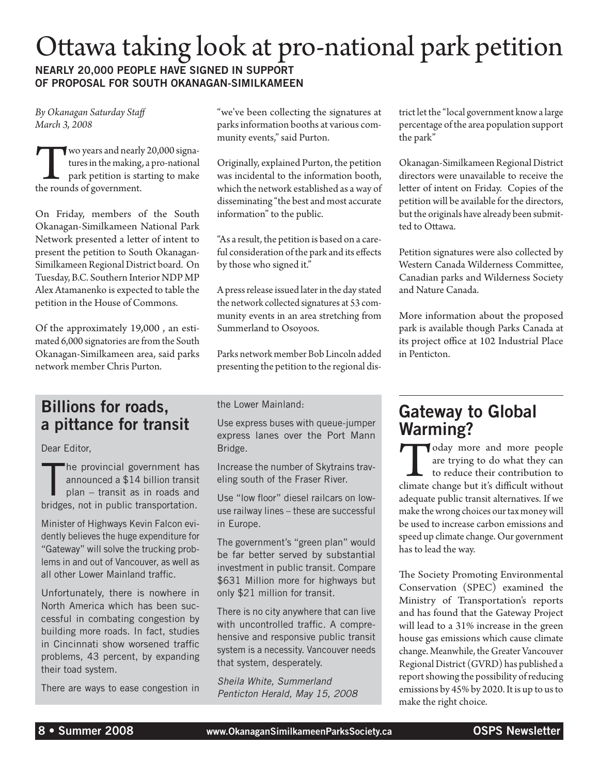### Ottawa taking look at pro-national park petition Nearly 20,000 people have signed in support of proposal for South Okanagan-Similkameen

*By Okanagan Saturday Staff March 3, 2008*

Two years and nearly 20,000 signatures in the making, a pro-national park petition is starting to make the rounds of government.

On Friday, members of the South Okanagan-Similkameen National Park Network presented a letter of intent to present the petition to South Okanagan-Similkameen Regional District board. On Tuesday, B.C. Southern Interior NDP MP Alex Atamanenko is expected to table the petition in the House of Commons.

Of the approximately 19,000 , an estimated 6,000 signatories are from the South Okanagan-Similkameen area, said parks network member Chris Purton.

#### Billions for roads, a pittance for transit

Dear Editor,

The provincial government has<br>announced a \$14 billion transit<br>plan – transit as in roads and<br>bridges, not in public transportation. he provincial government has announced a \$14 billion transit plan – transit as in roads and

Minister of Highways Kevin Falcon evidently believes the huge expenditure for "Gateway" will solve the trucking problems in and out of Vancouver, as well as all other Lower Mainland traffic.

Unfortunately, there is nowhere in North America which has been successful in combating congestion by building more roads. In fact, studies in Cincinnati show worsened traffic problems, 43 percent, by expanding their toad system.

There are ways to ease congestion in

"we've been collecting the signatures at parks information booths at various community events," said Purton.

Originally, explained Purton, the petition was incidental to the information booth, which the network established as a way of disseminating "the best and most accurate information" to the public.

"As a result, the petition is based on a careful consideration of the park and its effects by those who signed it."

A press release issued later in the day stated the network collected signatures at 53 community events in an area stretching from Summerland to Osoyoos.

Parks network member Bob Lincoln added presenting the petition to the regional dis-

the Lower Mainland:

Use express buses with queue-jumper express lanes over the Port Mann Bridge.

Increase the number of Skytrains traveling south of the Fraser River.

Use "low floor" diesel railcars on lowuse railway lines – these are successful in Europe.

The government's "green plan" would be far better served by substantial investment in public transit. Compare \$631 Million more for highways but only \$21 million for transit.

There is no city anywhere that can live with uncontrolled traffic. A comprehensive and responsive public transit system is a necessity. Vancouver needs that system, desperately.

*Sheila White, Summerland Penticton Herald, May 15, 2008* trict let the "local government know a large percentage of the area population support the park"

Okanagan-Similkameen Regional District directors were unavailable to receive the letter of intent on Friday. Copies of the petition will be available for the directors, but the originals have already been submitted to Ottawa.

Petition signatures were also collected by Western Canada Wilderness Committee, Canadian parks and Wilderness Society and Nature Canada.

More information about the proposed park is available though Parks Canada at its project office at 102 Industrial Place in Penticton.

#### Gateway to Global Warming?

Today more and more people are trying to do what they can to reduce their contribution to climate change but it's difficult without are trying to do what they can to reduce their contribution to adequate public transit alternatives. If we make the wrong choices our tax money will be used to increase carbon emissions and speed up climate change. Our government has to lead the way.

The Society Promoting Environmental Conservation (SPEC) examined the Ministry of Transportation's reports and has found that the Gateway Project will lead to a 31% increase in the green house gas emissions which cause climate change. Meanwhile, the Greater Vancouver Regional District (GVRD) has published a report showing the possibility of reducing emissions by 45% by 2020. It is up to us to make the right choice.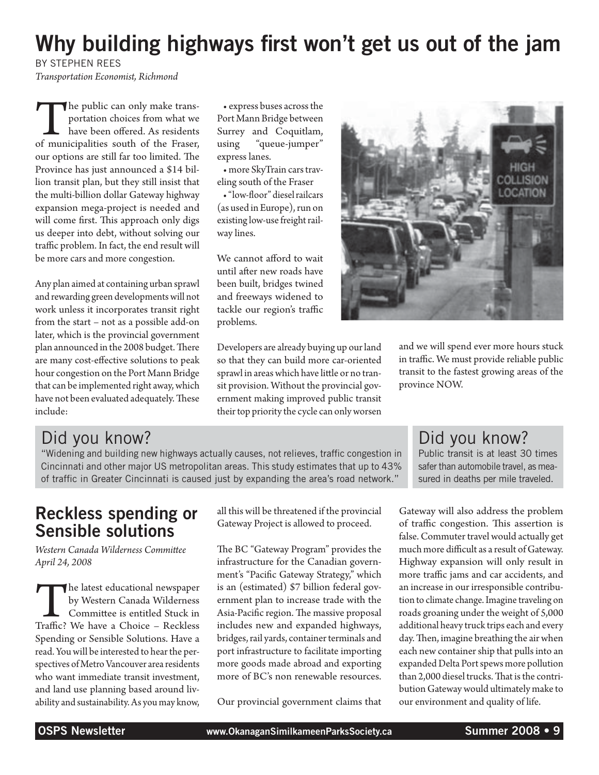### Why building highways first won't get us out of the jam

by Stephen Rees

*Transportation Economist, Richmond*

The public can only make trans-<br>portation choices from what we<br>have been offered. As residents<br>of municipalities south of the Fraser, portation choices from what we have been offered. As residents our options are still far too limited. The Province has just announced a \$14 billion transit plan, but they still insist that the multi-billion dollar Gateway highway expansion mega-project is needed and will come first. This approach only digs us deeper into debt, without solving our traffic problem. In fact, the end result will be more cars and more congestion.

Any plan aimed at containing urban sprawl and rewarding green developments will not work unless it incorporates transit right from the start – not as a possible add-on later, which is the provincial government plan announced in the 2008 budget. There are many cost-effective solutions to peak hour congestion on the Port Mann Bridge that can be implemented right away, which have not been evaluated adequately. These include:

• express buses across the Port Mann Bridge between Surrey and Coquitlam, using "queue-jumper" express lanes.

• more SkyTrain cars traveling south of the Fraser

• "low-floor" diesel railcars (as used in Europe), run on existing low-use freight railway lines.

We cannot afford to wait until after new roads have been built, bridges twined and freeways widened to tackle our region's traffic problems.

Developers are already buying up our land so that they can build more car-oriented sprawl in areas which have little or no transit provision. Without the provincial government making improved public transit their top priority the cycle can only worsen



Did you know?

"Widening and building new highways actually causes, not relieves, traffic congestion in Cincinnati and other major US metropolitan areas. This study estimates that up to 43% of traffic in Greater Cincinnati is caused just by expanding the area's road network."

### Reckless spending or Sensible solutions

*Western Canada Wilderness Committee April 24, 2008*

The latest educational newspaper<br>by Western Canada Wilderness<br>Committee is entitled Stuck in<br>Traffic? We have a Choice – Reckless by Western Canada Wilderness Committee is entitled Stuck in Spending or Sensible Solutions. Have a read. You will be interested to hear the perspectives of Metro Vancouver area residents who want immediate transit investment, and land use planning based around livability and sustainability. As you may know,

all this will be threatened if the provincial Gateway Project is allowed to proceed.

The BC "Gateway Program" provides the infrastructure for the Canadian government's "Pacific Gateway Strategy," which is an (estimated) \$7 billion federal government plan to increase trade with the Asia-Pacific region. The massive proposal includes new and expanded highways, bridges, rail yards, container terminals and port infrastructure to facilitate importing more goods made abroad and exporting more of BC's non renewable resources.

Our provincial government claims that

#### and we will spend ever more hours stuck in traffic. We must provide reliable public transit to the fastest growing areas of the province NOW.

#### Did you know?

Public transit is at least 30 times safer than automobile travel, as measured in deaths per mile traveled.

Gateway will also address the problem of traffic congestion. This assertion is false. Commuter travel would actually get much more difficult as a result of Gateway. Highway expansion will only result in more traffic jams and car accidents, and an increase in our irresponsible contribution to climate change. Imagine traveling on roads groaning under the weight of 5,000 additional heavy truck trips each and every day. Then, imagine breathing the air when each new container ship that pulls into an expanded Delta Port spews more pollution than 2,000 diesel trucks. That is the contribution Gateway would ultimately make to our environment and quality of life.